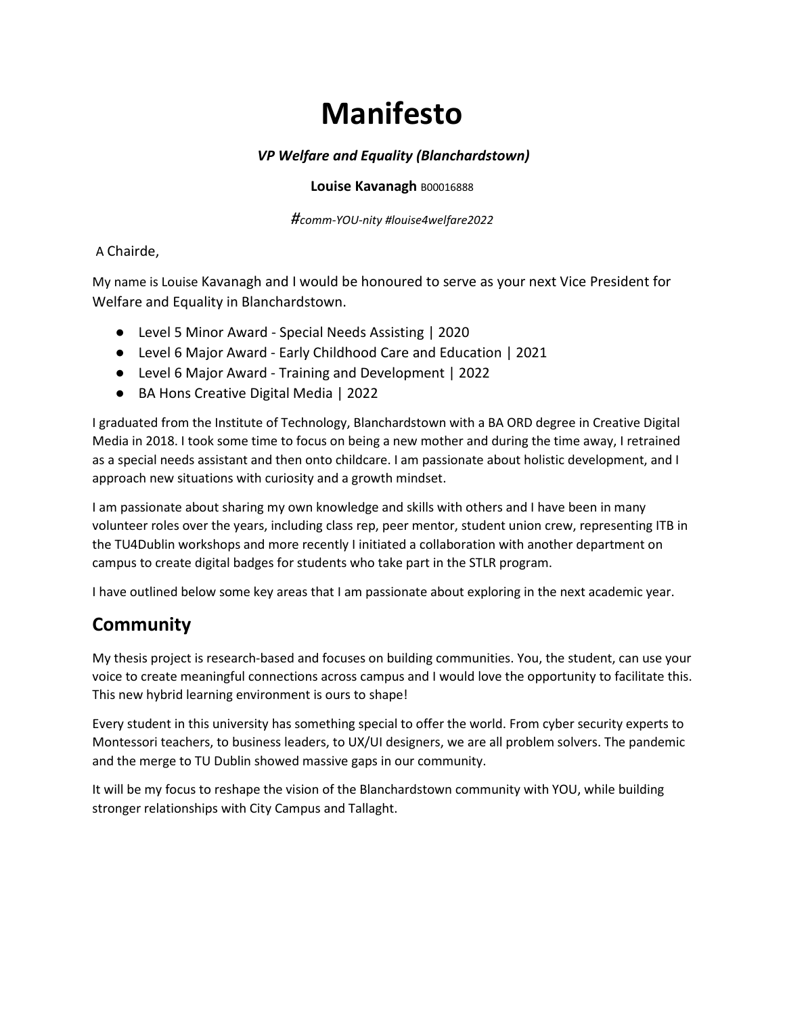# **Manifesto**

### *VP Welfare and Equality (Blanchardstown)*

#### **Louise Kavanagh B00016888**

*#comm-YOU-nity #louise4welfare2022*

#### A Chairde,

My name is Louise Kavanagh and I would be honoured to serve as your next Vice President for Welfare and Equality in Blanchardstown.

- Level 5 Minor Award Special Needs Assisting | 2020
- Level 6 Major Award Early Childhood Care and Education | 2021
- Level 6 Major Award Training and Development | 2022
- BA Hons Creative Digital Media | 2022

I graduated from the Institute of Technology, Blanchardstown with a BA ORD degree in Creative Digital Media in 2018. I took some time to focus on being a new mother and during the time away, I retrained as a special needs assistant and then onto childcare. I am passionate about holistic development, and I approach new situations with curiosity and a growth mindset.

I am passionate about sharing my own knowledge and skills with others and I have been in many volunteer roles over the years, including class rep, peer mentor, student union crew, representing ITB in the TU4Dublin workshops and more recently I initiated a collaboration with another department on campus to create digital badges for students who take part in the STLR program.

I have outlined below some key areas that I am passionate about exploring in the next academic year.

# **Community**

My thesis project is research-based and focuses on building communities. You, the student, can use your voice to create meaningful connections across campus and I would love the opportunity to facilitate this. This new hybrid learning environment is ours to shape!

Every student in this university has something special to offer the world. From cyber security experts to Montessori teachers, to business leaders, to UX/UI designers, we are all problem solvers. The pandemic and the merge to TU Dublin showed massive gaps in our community.

It will be my focus to reshape the vision of the Blanchardstown community with YOU, while building stronger relationships with City Campus and Tallaght.